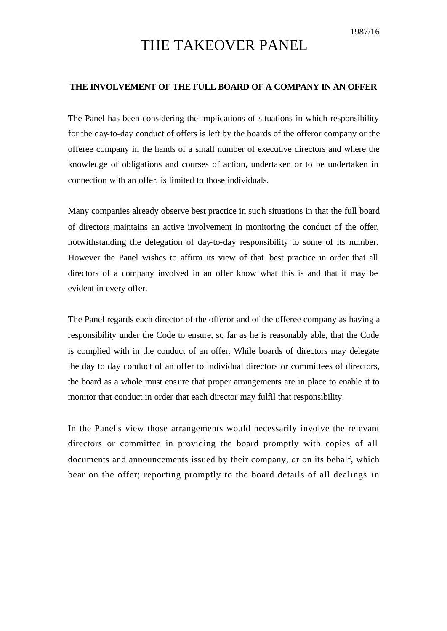## THE TAKEOVER PANEL

## **THE INVOLVEMENT OF THE FULL BOARD OF A COMPANY IN AN OFFER**

The Panel has been considering the implications of situations in which responsibility for the day-to-day conduct of offers is left by the boards of the offeror company or the offeree company in the hands of a small number of executive directors and where the knowledge of obligations and courses of action, undertaken or to be undertaken in connection with an offer, is limited to those individuals.

Many companies already observe best practice in such situations in that the full board of directors maintains an active involvement in monitoring the conduct of the offer, notwithstanding the delegation of day-to-day responsibility to some of its number. However the Panel wishes to affirm its view of that best practice in order that all directors of a company involved in an offer know what this is and that it may be evident in every offer.

The Panel regards each director of the offeror and of the offeree company as having a responsibility under the Code to ensure, so far as he is reasonably able, that the Code is complied with in the conduct of an offer. While boards of directors may delegate the day to day conduct of an offer to individual directors or committees of directors, the board as a whole must ensure that proper arrangements are in place to enable it to monitor that conduct in order that each director may fulfil that responsibility.

In the Panel's view those arrangements would necessarily involve the relevant directors or committee in providing the board promptly with copies of all documents and announcements issued by their company, or on its behalf, which bear on the offer; reporting promptly to the board details of all dealings in